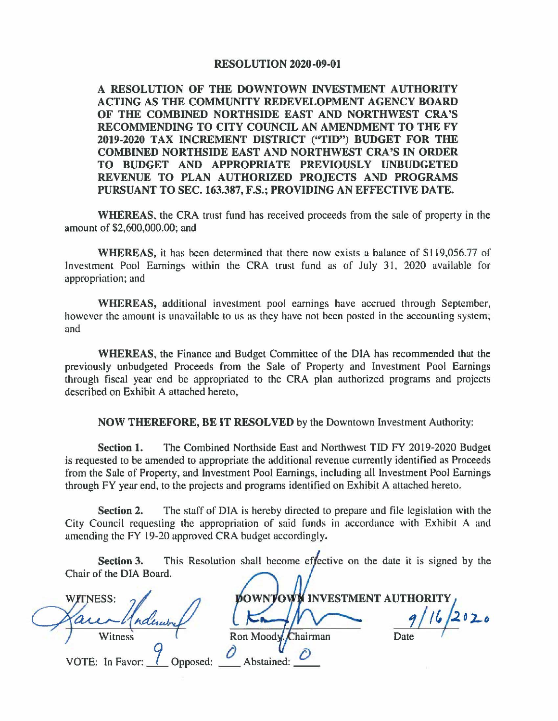## **RESOLUTION 2020-09-01**

**A RESOLUTION OF THE DOWNTOWN INVESTMENT AUTHORITY ACTING AS THE COMMUNITY REDEVELOPMENT AGENCY BOARD OF THE COMBINED NORTHSIDE EAST AND NORTHWEST CRA'S RECOMMENDING TO CITY COUNCIL AN AMENDMENT TO THE FY 2019-2020 TAX INCREMENT DISTRICT ("TID") BUDGET FOR THE COMBINED NORTHSIDE EAST AND NORTHWEST CRA'S IN ORDER TO BUDGET AND APPROPRIATE PREVIOUSLY UNBUDGETED REVENUE TO PLAN AUTHORIZED PROJECTS AND PROGRAMS PURSUANT TO SEC.163.387, F.S.; PROVIDING AN EFFECTIVE DATE.** 

**WHEREAS,** the CRA trust fund has received proceeds from the sale of property in the amount of \$2,600,000.00; and

**WHEREAS,** it has been determined that there now exists a balance of \$119,056.77 of Investment Pool Earnings within the CRA trust fund as of July 31, 2020 available for appropriation: and

**WHEREAS,** additional investment pool earnings have accrued through September, however the amount is unavailable to us as they have not been posted in the accounting system; and

**WHEREAS,** the Finance and Budget Committee of the DIA has recommended that the previously unbudgeted Proceeds from the Sale of Property and Investment Pool Earnings through fiscal year end be appropriated to the CRA plan authorized programs and projects described on Exhibit A attached hereto,

**NOW THEREFORE, BE IT RESOLVED** by the Downtown Investment Authority:

**Section 1.** The Combined Northside East and Northwest TIO FY 2019-2020 Budget is requested to be amended to appropriate the additional revenue currently identified as Proceeds from the Sale of Property, and Investment Pool Earnings, including all Investment Pool Earnings through FY year end, to the projects and programs identified on Exhibit A attached hereto.

**Section 2.** The staff of DIA is hereby directed to prepare and file legislation with the City Council requesting the appropriation of said funds in accordance with Exhibit A and amending the FY 19-20 approved CRA budget accordingly.

This Resolution shall become effective on the date it is signed by the Section 3. Chair of the DIA Board.

Abstained:

**WITNESS:** ndera Witness

**DOWNTOWN INVESTMENT AUTHORITY** Ron Moody  $\mathcal{K}$ hairman

 $16/2020$ Date

VOTE: In Favor: pposed: